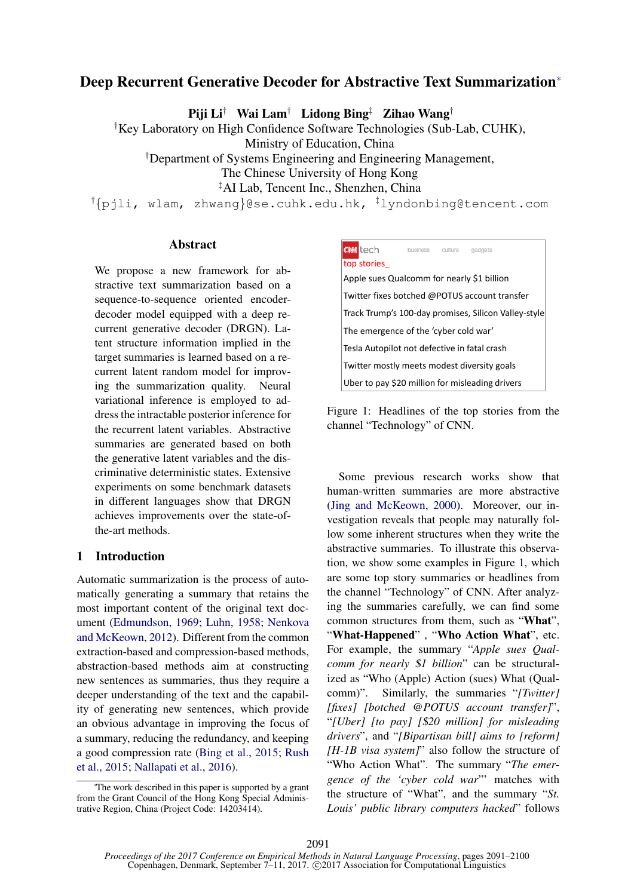# Deep Recurrent Generative Decoder for Abstractive Text Summarization<sup>∗</sup>

Piji Li† Wai Lam† Lidong Bing‡ Zihao Wang†

†Key Laboratory on High Confidence Software Technologies (Sub-Lab, CUHK),

Ministry of Education, China

†Department of Systems Engineering and Engineering Management,

The Chinese University of Hong Kong

‡AI Lab, Tencent Inc., Shenzhen, China

†{pjli, wlam, zhwang}@se.cuhk.edu.hk, ‡lyndonbing@tencent.com

## Abstract

We propose a new framework for abstractive text summarization based on a sequence-to-sequence oriented encoderdecoder model equipped with a deep recurrent generative decoder (DRGN). Latent structure information implied in the target summaries is learned based on a recurrent latent random model for improving the summarization quality. Neural variational inference is employed to address the intractable posterior inference for the recurrent latent variables. Abstractive summaries are generated based on both the generative latent variables and the discriminative deterministic states. Extensive experiments on some benchmark datasets in different languages show that DRGN achieves improvements over the state-ofthe-art methods.

## 1 Introduction

Automatic summarization is the process of automatically generating a summary that retains the most important content of the original text document (Edmundson, 1969; Luhn, 1958; Nenkova and McKeown, 2012). Different from the common extraction-based and compression-based methods, abstraction-based methods aim at constructing new sentences as summaries, thus they require a deeper understanding of the text and the capability of generating new sentences, which provide an obvious advantage in improving the focus of a summary, reducing the redundancy, and keeping a good compression rate (Bing et al., 2015; Rush et al., 2015; Nallapati et al., 2016).



Figure 1: Headlines of the top stories from the channel "Technology" of CNN.

Some previous research works show that human-written summaries are more abstractive (Jing and McKeown, 2000). Moreover, our investigation reveals that people may naturally follow some inherent structures when they write the abstractive summaries. To illustrate this observation, we show some examples in Figure 1, which are some top story summaries or headlines from the channel "Technology" of CNN. After analyzing the summaries carefully, we can find some common structures from them, such as "What", "What-Happened" , "Who Action What", etc. For example, the summary "*Apple sues Qualcomm for nearly* \$*1 billion*" can be structuralized as "Who (Apple) Action (sues) What (Qualcomm)". Similarly, the summaries "*[Twitter] [fixes] [botched @POTUS account transfer]*", "*[Uber] [to pay] [*\$*20 million] for misleading drivers*", and "*[Bipartisan bill] aims to [reform] [H-1B visa system]*" also follow the structure of "Who Action What". The summary "*The emergence of the 'cyber cold war*"' matches with the structure of "What", and the summary "*St. Louis' public library computers hacked*" follows

<sup>∗</sup>The work described in this paper is supported by a grant from the Grant Council of the Hong Kong Special Administrative Region, China (Project Code: 14203414).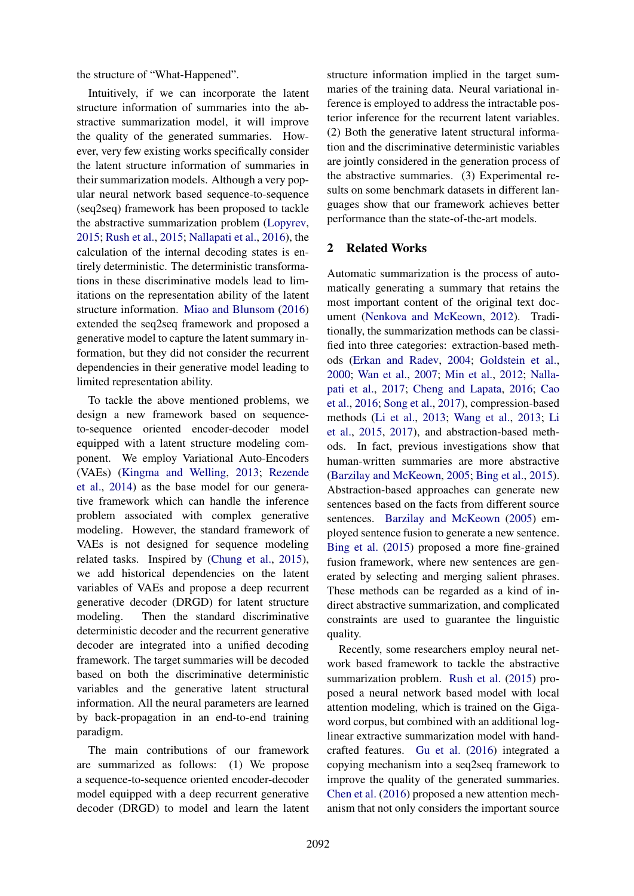the structure of "What-Happened".

Intuitively, if we can incorporate the latent structure information of summaries into the abstractive summarization model, it will improve the quality of the generated summaries. However, very few existing works specifically consider the latent structure information of summaries in their summarization models. Although a very popular neural network based sequence-to-sequence (seq2seq) framework has been proposed to tackle the abstractive summarization problem (Lopyrev, 2015; Rush et al., 2015; Nallapati et al., 2016), the calculation of the internal decoding states is entirely deterministic. The deterministic transformations in these discriminative models lead to limitations on the representation ability of the latent structure information. Miao and Blunsom (2016) extended the seq2seq framework and proposed a generative model to capture the latent summary information, but they did not consider the recurrent dependencies in their generative model leading to limited representation ability.

To tackle the above mentioned problems, we design a new framework based on sequenceto-sequence oriented encoder-decoder model equipped with a latent structure modeling component. We employ Variational Auto-Encoders (VAEs) (Kingma and Welling, 2013; Rezende et al., 2014) as the base model for our generative framework which can handle the inference problem associated with complex generative modeling. However, the standard framework of VAEs is not designed for sequence modeling related tasks. Inspired by (Chung et al., 2015), we add historical dependencies on the latent variables of VAEs and propose a deep recurrent generative decoder (DRGD) for latent structure modeling. Then the standard discriminative deterministic decoder and the recurrent generative decoder are integrated into a unified decoding framework. The target summaries will be decoded based on both the discriminative deterministic variables and the generative latent structural information. All the neural parameters are learned by back-propagation in an end-to-end training paradigm.

The main contributions of our framework are summarized as follows: (1) We propose a sequence-to-sequence oriented encoder-decoder model equipped with a deep recurrent generative decoder (DRGD) to model and learn the latent

structure information implied in the target summaries of the training data. Neural variational inference is employed to address the intractable posterior inference for the recurrent latent variables. (2) Both the generative latent structural information and the discriminative deterministic variables are jointly considered in the generation process of the abstractive summaries. (3) Experimental results on some benchmark datasets in different languages show that our framework achieves better performance than the state-of-the-art models.

## 2 Related Works

Automatic summarization is the process of automatically generating a summary that retains the most important content of the original text document (Nenkova and McKeown, 2012). Traditionally, the summarization methods can be classified into three categories: extraction-based methods (Erkan and Radev, 2004; Goldstein et al., 2000; Wan et al., 2007; Min et al., 2012; Nallapati et al., 2017; Cheng and Lapata, 2016; Cao et al., 2016; Song et al., 2017), compression-based methods (Li et al., 2013; Wang et al., 2013; Li et al., 2015, 2017), and abstraction-based methods. In fact, previous investigations show that human-written summaries are more abstractive (Barzilay and McKeown, 2005; Bing et al., 2015). Abstraction-based approaches can generate new sentences based on the facts from different source sentences. Barzilay and McKeown (2005) employed sentence fusion to generate a new sentence. Bing et al. (2015) proposed a more fine-grained fusion framework, where new sentences are generated by selecting and merging salient phrases. These methods can be regarded as a kind of indirect abstractive summarization, and complicated constraints are used to guarantee the linguistic quality.

Recently, some researchers employ neural network based framework to tackle the abstractive summarization problem. Rush et al. (2015) proposed a neural network based model with local attention modeling, which is trained on the Gigaword corpus, but combined with an additional loglinear extractive summarization model with handcrafted features. Gu et al. (2016) integrated a copying mechanism into a seq2seq framework to improve the quality of the generated summaries. Chen et al. (2016) proposed a new attention mechanism that not only considers the important source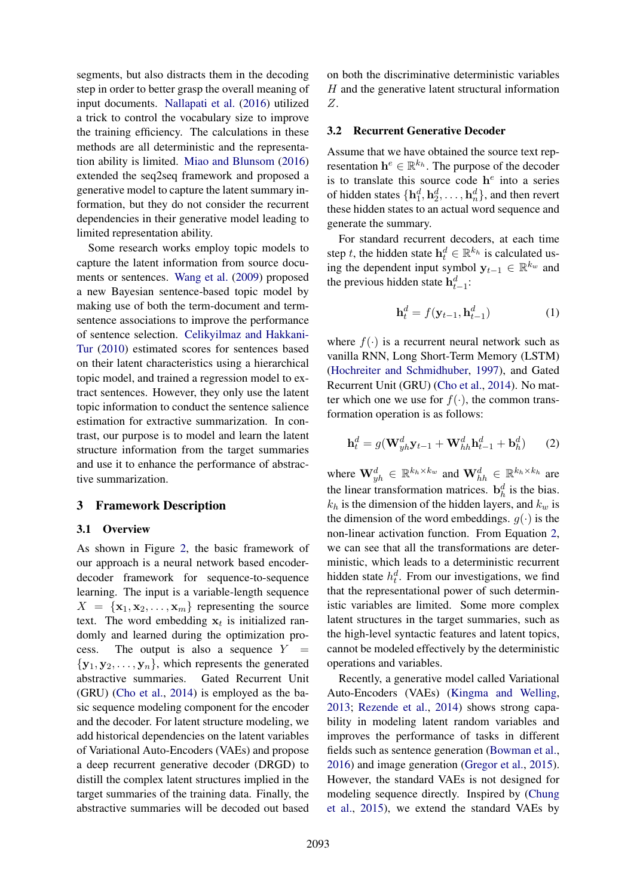segments, but also distracts them in the decoding step in order to better grasp the overall meaning of input documents. Nallapati et al. (2016) utilized a trick to control the vocabulary size to improve the training efficiency. The calculations in these methods are all deterministic and the representation ability is limited. Miao and Blunsom (2016) extended the seq2seq framework and proposed a generative model to capture the latent summary information, but they do not consider the recurrent dependencies in their generative model leading to limited representation ability.

Some research works employ topic models to capture the latent information from source documents or sentences. Wang et al. (2009) proposed a new Bayesian sentence-based topic model by making use of both the term-document and termsentence associations to improve the performance of sentence selection. Celikyilmaz and Hakkani-Tur (2010) estimated scores for sentences based on their latent characteristics using a hierarchical topic model, and trained a regression model to extract sentences. However, they only use the latent topic information to conduct the sentence salience estimation for extractive summarization. In contrast, our purpose is to model and learn the latent structure information from the target summaries and use it to enhance the performance of abstractive summarization.

### 3 Framework Description

### 3.1 Overview

As shown in Figure 2, the basic framework of our approach is a neural network based encoderdecoder framework for sequence-to-sequence learning. The input is a variable-length sequence  $X = {\mathbf{x}_1, \mathbf{x}_2, \dots, \mathbf{x}_m}$  representing the source text. The word embedding  $x_t$  is initialized randomly and learned during the optimization process. The output is also a sequence  $Y =$  $\{y_1, y_2, \ldots, y_n\}$ , which represents the generated abstractive summaries. Gated Recurrent Unit (GRU) (Cho et al., 2014) is employed as the basic sequence modeling component for the encoder and the decoder. For latent structure modeling, we add historical dependencies on the latent variables of Variational Auto-Encoders (VAEs) and propose a deep recurrent generative decoder (DRGD) to distill the complex latent structures implied in the target summaries of the training data. Finally, the abstractive summaries will be decoded out based

on both the discriminative deterministic variables  $H$  and the generative latent structural information Z.

#### 3.2 Recurrent Generative Decoder

Assume that we have obtained the source text representation  $\mathbf{h}^e \in \mathbb{R}^{k_h}$ . The purpose of the decoder is to translate this source code  $h^e$  into a series of hidden states  $\{\mathbf{h}_1^d, \mathbf{h}_2^d, \dots, \mathbf{h}_n^d\}$ , and then revert these hidden states to an actual word sequence and generate the summary.

For standard recurrent decoders, at each time step t, the hidden state  $\mathbf{h}_t^d \in \mathbb{R}^{k_h}$  is calculated using the dependent input symbol  $y_{t-1} \in \mathbb{R}^{k_w}$  and the previous hidden state  $h_{t-1}^d$ :

$$
\mathbf{h}_t^d = f(\mathbf{y}_{t-1}, \mathbf{h}_{t-1}^d) \tag{1}
$$

where  $f(.)$  is a recurrent neural network such as vanilla RNN, Long Short-Term Memory (LSTM) (Hochreiter and Schmidhuber, 1997), and Gated Recurrent Unit (GRU) (Cho et al., 2014). No matter which one we use for  $f(\cdot)$ , the common transformation operation is as follows:

$$
\mathbf{h}_t^d = g(\mathbf{W}_{yh}^d \mathbf{y}_{t-1} + \mathbf{W}_{hh}^d \mathbf{h}_{t-1}^d + \mathbf{b}_h^d) \qquad (2)
$$

where  $\mathbf{W}_{yh}^d \in \mathbb{R}^{k_h \times k_w}$  and  $\mathbf{W}_{hh}^d \in \mathbb{R}^{k_h \times k_h}$  are the linear transformation matrices.  $\mathbf{b}_h^d$  is the bias.  $k_h$  is the dimension of the hidden layers, and  $k_w$  is the dimension of the word embeddings.  $q(\cdot)$  is the non-linear activation function. From Equation 2, we can see that all the transformations are deterministic, which leads to a deterministic recurrent hidden state  $h_t^d$ . From our investigations, we find that the representational power of such deterministic variables are limited. Some more complex latent structures in the target summaries, such as the high-level syntactic features and latent topics, cannot be modeled effectively by the deterministic operations and variables.

Recently, a generative model called Variational Auto-Encoders (VAEs) (Kingma and Welling, 2013; Rezende et al., 2014) shows strong capability in modeling latent random variables and improves the performance of tasks in different fields such as sentence generation (Bowman et al., 2016) and image generation (Gregor et al., 2015). However, the standard VAEs is not designed for modeling sequence directly. Inspired by (Chung et al., 2015), we extend the standard VAEs by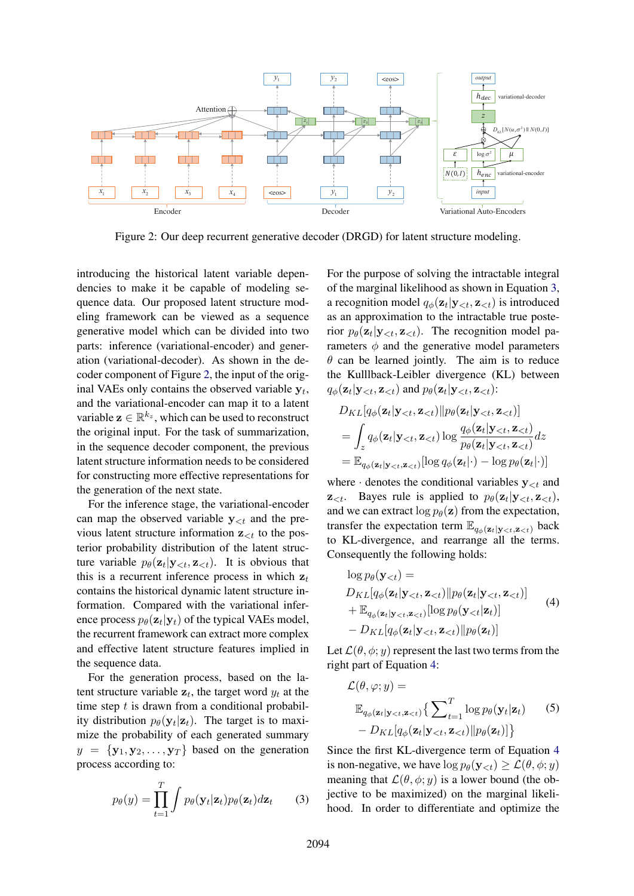

Figure 2: Our deep recurrent generative decoder (DRGD) for latent structure modeling.

introducing the historical latent variable dependencies to make it be capable of modeling sequence data. Our proposed latent structure modeling framework can be viewed as a sequence generative model which can be divided into two parts: inference (variational-encoder) and generation (variational-decoder). As shown in the decoder component of Figure 2, the input of the original VAEs only contains the observed variable  $y_t$ , and the variational-encoder can map it to a latent variable  $\mathbf{z} \in \mathbb{R}^{k_z}$ , which can be used to reconstruct the original input. For the task of summarization, in the sequence decoder component, the previous latent structure information needs to be considered for constructing more effective representations for the generation of the next state.

For the inference stage, the variational-encoder can map the observed variable  $y_{\leq t}$  and the previous latent structure information  $z_{\leq t}$  to the posterior probability distribution of the latent structure variable  $p_{\theta}(\mathbf{z}_t | \mathbf{y}_{< t}, \mathbf{z}_{< t})$ . It is obvious that this is a recurrent inference process in which  $z_t$ contains the historical dynamic latent structure information. Compared with the variational inference process  $p_{\theta}(\mathbf{z}_t|\mathbf{y}_t)$  of the typical VAEs model, the recurrent framework can extract more complex and effective latent structure features implied in the sequence data.

For the generation process, based on the latent structure variable  $z_t$ , the target word  $y_t$  at the time step  $t$  is drawn from a conditional probability distribution  $p_{\theta}(\mathbf{y}_t|\mathbf{z}_t)$ . The target is to maximize the probability of each generated summary  $y = \{y_1, y_2, \ldots, y_T\}$  based on the generation process according to:

$$
p_{\theta}(y) = \prod_{t=1}^{T} \int p_{\theta}(\mathbf{y}_t | \mathbf{z}_t) p_{\theta}(\mathbf{z}_t) d\mathbf{z}_t \qquad (3)
$$

For the purpose of solving the intractable integral of the marginal likelihood as shown in Equation 3, a recognition model  $q_{\phi}(\mathbf{z}_t | \mathbf{y}_{ is introduced$ as an approximation to the intractable true posterior  $p_{\theta}(\mathbf{z}_t | \mathbf{y}_{< t}, \mathbf{z}_{< t})$ . The recognition model parameters  $\phi$  and the generative model parameters  $\theta$  can be learned jointly. The aim is to reduce the Kulllback-Leibler divergence (KL) between  $q_{\phi}(\mathbf{z}_t | \mathbf{y}_{ and  $p_{\theta}(\mathbf{z}_t | \mathbf{y}_{:$$ 

$$
D_{KL}[q_{\phi}(\mathbf{z}_t|\mathbf{y}_{\n
$$
= \int_z q_{\phi}(\mathbf{z}_t|\mathbf{y}_{\n
$$
= \mathbb{E}_{q_{\phi}(\mathbf{z}_t|\mathbf{y}_{
$$
$$
$$

where  $\cdot$  denotes the conditional variables  $y_{\leq t}$  and  $\mathbf{z}_{\leq t}$ . Bayes rule is applied to  $p_{\theta}(\mathbf{z}_t | \mathbf{y}_{\leq t}, \mathbf{z}_{\leq t})$ , and we can extract  $\log p_{\theta}(\mathbf{z})$  from the expectation, transfer the expectation term  $\mathbb{E}_{q_{\phi}(\mathbf{z}_t|\mathbf{y}_{\leq t},\mathbf{z}_{\leq t})}$  back to KL-divergence, and rearrange all the terms. Consequently the following holds:

$$
\log p_{\theta}(\mathbf{y}_{  
\n
$$
D_{KL}[q_{\phi}(\mathbf{z}_t | \mathbf{y}_{  
\n
$$
+ \mathbb{E}_{q_{\phi}(\mathbf{z}_t | \mathbf{y}_{  
\n
$$
- D_{KL}[q_{\phi}(\mathbf{z}_t | \mathbf{y}_{\n(4)
$$
$$
$$
$$

Let  $\mathcal{L}(\theta, \phi; y)$  represent the last two terms from the right part of Equation 4:

$$
\mathcal{L}(\theta, \varphi; y) =
$$
\n
$$
\mathbb{E}_{q_{\phi}(\mathbf{z}_t | \mathbf{y}_{\n
$$
- D_{KL}[q_{\phi}(\mathbf{z}_t | \mathbf{y}_{
$$
$$

Since the first KL-divergence term of Equation 4 is non-negative, we have  $\log p_{\theta}(\mathbf{y}_{\leq t}) \geq \mathcal{L}(\theta, \phi; y)$ meaning that  $\mathcal{L}(\theta, \phi; y)$  is a lower bound (the objective to be maximized) on the marginal likelihood. In order to differentiate and optimize the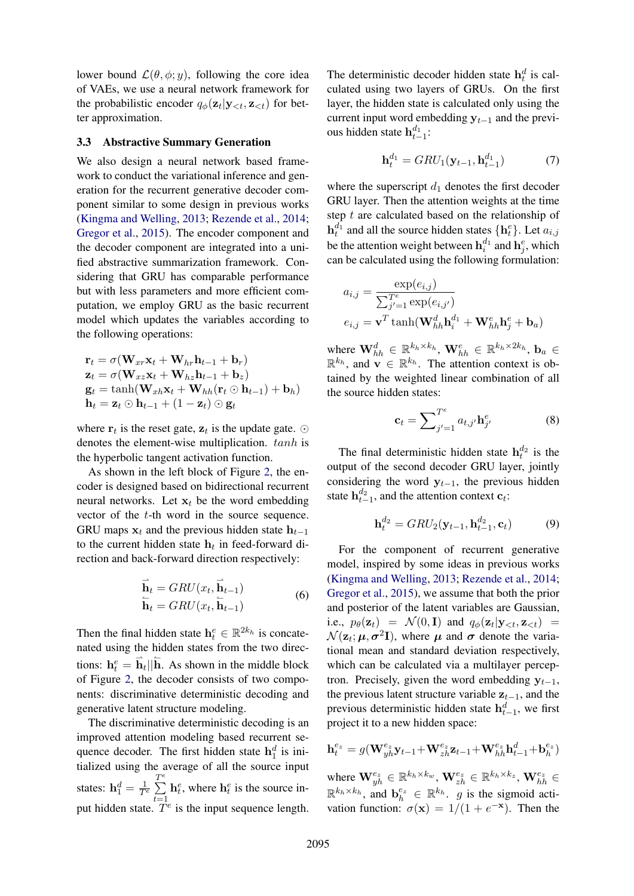lower bound  $\mathcal{L}(\theta, \phi; y)$ , following the core idea of VAEs, we use a neural network framework for the probabilistic encoder  $q_{\phi}(\mathbf{z}_t | \mathbf{y}_{ for bet$ ter approximation.

#### 3.3 Abstractive Summary Generation

We also design a neural network based framework to conduct the variational inference and generation for the recurrent generative decoder component similar to some design in previous works (Kingma and Welling, 2013; Rezende et al., 2014; Gregor et al., 2015). The encoder component and the decoder component are integrated into a unified abstractive summarization framework. Considering that GRU has comparable performance but with less parameters and more efficient computation, we employ GRU as the basic recurrent model which updates the variables according to the following operations:

$$
\mathbf{r}_t = \sigma(\mathbf{W}_{xr}\mathbf{x}_t + \mathbf{W}_{hr}\mathbf{h}_{t-1} + \mathbf{b}_r)
$$
  
\n
$$
\mathbf{z}_t = \sigma(\mathbf{W}_{xz}\mathbf{x}_t + \mathbf{W}_{hz}\mathbf{h}_{t-1} + \mathbf{b}_z)
$$
  
\n
$$
\mathbf{g}_t = \tanh(\mathbf{W}_{xh}\mathbf{x}_t + \mathbf{W}_{hh}(\mathbf{r}_t \odot \mathbf{h}_{t-1}) + \mathbf{b}_h)
$$
  
\n
$$
\mathbf{h}_t = \mathbf{z}_t \odot \mathbf{h}_{t-1} + (1 - \mathbf{z}_t) \odot \mathbf{g}_t
$$

where  $\mathbf{r}_t$  is the reset gate,  $\mathbf{z}_t$  is the update gate.  $\odot$ denotes the element-wise multiplication. tanh is the hyperbolic tangent activation function.

As shown in the left block of Figure 2, the encoder is designed based on bidirectional recurrent neural networks. Let  $x_t$  be the word embedding vector of the t-th word in the source sequence. GRU maps  $x_t$  and the previous hidden state  $h_{t-1}$ to the current hidden state  $h_t$  in feed-forward direction and back-forward direction respectively:

$$
\overrightarrow{\mathbf{h}}_t = GRU(x_t, \overrightarrow{\mathbf{h}}_{t-1})
$$
\n
$$
\overleftarrow{\mathbf{h}}_t = GRU(x_t, \overleftarrow{\mathbf{h}}_{t-1})
$$
\n(6)

Then the final hidden state  $\mathbf{h}_t^e \in \mathbb{R}^{2k_h}$  is concatenated using the hidden states from the two directions:  $\mathbf{h}_t^e = \mathbf{h}_t || \mathbf{h}$ . As shown in the middle block of Figure 2, the decoder consists of two components: discriminative deterministic decoding and generative latent structure modeling.

The discriminative deterministic decoding is an improved attention modeling based recurrent sequence decoder. The first hidden state  $h_1^d$  is initialized using the average of all the source input states:  $\mathbf{h}_1^d = \frac{1}{T^e}$  $\overline{\sum}^e$  $t=1$  $h_t^e$ , where  $h_t^e$  is the source input hidden state.  $\hat{T}^e$  is the input sequence length.

The deterministic decoder hidden state  $h_t^d$  is calculated using two layers of GRUs. On the first layer, the hidden state is calculated only using the current input word embedding  $y_{t-1}$  and the previous hidden state  $h_{t-1}^{d_1}$ :

$$
\mathbf{h}_t^{d_1} = GRU_1(\mathbf{y}_{t-1}, \mathbf{h}_{t-1}^{d_1})
$$
 (7)

where the superscript  $d_1$  denotes the first decoder GRU layer. Then the attention weights at the time step  $t$  are calculated based on the relationship of  $\mathbf{h}_t^{d_1}$  and all the source hidden states  $\{\mathbf{h}_t^{e}\}\$ . Let  $a_{i,j}$ be the attention weight between  $\mathbf{h}_i^{d_1}$  and  $\mathbf{h}_j^e$ , which can be calculated using the following formulation:

$$
a_{i,j} = \frac{\exp(e_{i,j})}{\sum_{j'=1}^{Te} \exp(e_{i,j'})}
$$
  

$$
e_{i,j} = \mathbf{v}^T \tanh(\mathbf{W}_{hh}^d \mathbf{h}_i^{d_1} + \mathbf{W}_{hh}^e \mathbf{h}_j^e + \mathbf{b}_a)
$$

where  $\mathbf{W}_{hh}^d \in \mathbb{R}^{k_h \times k_h}$ ,  $\mathbf{W}_{hh}^e \in \mathbb{R}^{k_h \times 2k_h}$ ,  $\mathbf{b}_a \in$  $\mathbb{R}^{k_h}$ , and  $\mathbf{v} \in \mathbb{R}^{k_h}$ . The attention context is obtained by the weighted linear combination of all the source hidden states:

$$
\mathbf{c}_t = \sum_{j'=1}^{T^e} a_{t,j'} \mathbf{h}_{j'}^e \tag{8}
$$

The final deterministic hidden state  $h_t^{d_2}$  is the output of the second decoder GRU layer, jointly considering the word  $y_{t-1}$ , the previous hidden state  $h_{t-1}^{d_2}$ , and the attention context  $c_t$ :

$$
\mathbf{h}_t^{d_2} = GRU_2(\mathbf{y}_{t-1}, \mathbf{h}_{t-1}^{d_2}, \mathbf{c}_t)
$$
(9)

For the component of recurrent generative model, inspired by some ideas in previous works (Kingma and Welling, 2013; Rezende et al., 2014; Gregor et al., 2015), we assume that both the prior and posterior of the latent variables are Gaussian, i.e.,  $p_{\theta}(\mathbf{z}_t) = \mathcal{N}(0, \mathbf{I})$  and  $q_{\phi}(\mathbf{z}_t | \mathbf{y}_{ =$  $\mathcal{N}(\mathbf{z}_t; \boldsymbol{\mu}, \boldsymbol{\sigma}^2 \mathbf{I})$ , where  $\boldsymbol{\mu}$  and  $\boldsymbol{\sigma}$  denote the variational mean and standard deviation respectively, which can be calculated via a multilayer perceptron. Precisely, given the word embedding  $y_{t-1}$ , the previous latent structure variable  $z_{t-1}$ , and the previous deterministic hidden state  $h_{t-1}^d$ , we first project it to a new hidden space:

$$
\mathbf{h}_t^{e_z}=g(\mathbf{W}_{y h}^{e_z}\mathbf{y}_{t-1}\!+\!\mathbf{W}_{z h}^{e_z}\mathbf{z}_{t-1}\!+\!\mathbf{W}_{h h}^{e_z}\mathbf{h}_{t-1}^{d}\!+\!\mathbf{b}_h^{e_z})
$$

where  $\mathbf{W}_{yh}^{e_z} \in \mathbb{R}^{k_h \times k_w}$ ,  $\mathbf{W}_{zh}^{e_z} \in \mathbb{R}^{k_h \times k_z}$ ,  $\mathbf{W}_{hh}^{e_z} \in$  $\mathbb{R}^{k_h \times k_h}$ , and  $\mathbf{b}_h^{e_z} \in \mathbb{R}^{k_h}$ . *g* is the sigmoid activation function:  $\sigma(\mathbf{x}) = 1/(1 + e^{-\mathbf{x}})$ . Then the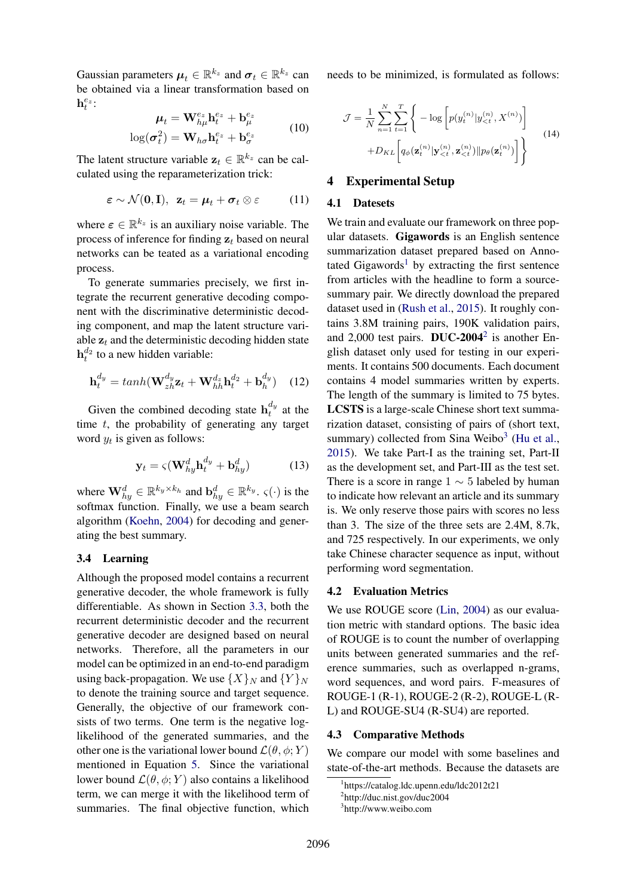Gaussian parameters  $\boldsymbol{\mu}_t \in \mathbb{R}^{k_z}$  and  $\boldsymbol{\sigma}_t \in \mathbb{R}^{k_z}$  can be obtained via a linear transformation based on  $\mathbf{h}_t^{e_z}$ :

$$
\mu_t = \mathbf{W}_{h\mu}^{e_z} \mathbf{h}_t^{e_z} + \mathbf{b}_{\mu}^{e_z}
$$
  

$$
\log(\sigma_t^2) = \mathbf{W}_{h\sigma} \mathbf{h}_t^{e_z} + \mathbf{b}_{\sigma}^{e_z}
$$
 (10)

The latent structure variable  $z_t \in \mathbb{R}^{k_z}$  can be calculated using the reparameterization trick:

$$
\boldsymbol{\varepsilon} \sim \mathcal{N}(\mathbf{0}, \mathbf{I}), \ \ \mathbf{z}_t = \boldsymbol{\mu}_t + \boldsymbol{\sigma}_t \otimes \boldsymbol{\varepsilon} \tag{11}
$$

where  $\epsilon \in \mathbb{R}^{k_z}$  is an auxiliary noise variable. The process of inference for finding  $z_t$  based on neural networks can be teated as a variational encoding process.

To generate summaries precisely, we first integrate the recurrent generative decoding component with the discriminative deterministic decoding component, and map the latent structure variable  $z_t$  and the deterministic decoding hidden state  $h_t^{d_2}$  to a new hidden variable:

$$
\mathbf{h}_t^{d_y} = tanh(\mathbf{W}_{zh}^{d_y}\mathbf{z}_t + \mathbf{W}_{hh}^{d_z}\mathbf{h}_t^{d_2} + \mathbf{b}_h^{d_y}) \quad (12)
$$

Given the combined decoding state  $h_t^{d_y}$  $t^{uy}_t$  at the time  $t$ , the probability of generating any target word  $y_t$  is given as follows:

$$
\mathbf{y}_t = \varsigma (\mathbf{W}_{hy}^d \mathbf{h}_t^{d_y} + \mathbf{b}_{hy}^d) \tag{13}
$$

where  $\mathbf{W}_{hy}^d \in \mathbb{R}^{k_y \times k_h}$  and  $\mathbf{b}_{hy}^d \in \mathbb{R}^{k_y}$ .  $\varsigma(\cdot)$  is the softmax function. Finally, we use a beam search algorithm (Koehn, 2004) for decoding and generating the best summary.

## 3.4 Learning

Although the proposed model contains a recurrent generative decoder, the whole framework is fully differentiable. As shown in Section 3.3, both the recurrent deterministic decoder and the recurrent generative decoder are designed based on neural networks. Therefore, all the parameters in our model can be optimized in an end-to-end paradigm using back-propagation. We use  $\{X\}_N$  and  $\{Y\}_N$ to denote the training source and target sequence. Generally, the objective of our framework consists of two terms. One term is the negative loglikelihood of the generated summaries, and the other one is the variational lower bound  $\mathcal{L}(\theta, \phi; Y)$ mentioned in Equation 5. Since the variational lower bound  $\mathcal{L}(\theta, \phi; Y)$  also contains a likelihood term, we can merge it with the likelihood term of summaries. The final objective function, which needs to be minimized, is formulated as follows:

$$
\mathcal{J} = \frac{1}{N} \sum_{n=1}^{N} \sum_{t=1}^{T} \left\{ -\log \left[ p(y_t^{(n)} | y_{< t}^{(n)}, X^{(n)}) \right] + D_{KL} \left[ q_\phi(\mathbf{z}_t^{(n)} | \mathbf{y}_{< t}^{(n)}, \mathbf{z}_{< t}^{(n)}) || p_\theta(\mathbf{z}_t^{(n)}) \right] \right\}
$$
(14)

## 4 Experimental Setup

## 4.1 Datesets

We train and evaluate our framework on three popular datasets. Gigawords is an English sentence summarization dataset prepared based on Annotated Gigawords<sup>1</sup> by extracting the first sentence from articles with the headline to form a sourcesummary pair. We directly download the prepared dataset used in (Rush et al., 2015). It roughly contains 3.8M training pairs, 190K validation pairs, and 2,000 test pairs. DUC-2004<sup>2</sup> is another English dataset only used for testing in our experiments. It contains 500 documents. Each document contains 4 model summaries written by experts. The length of the summary is limited to 75 bytes. LCSTS is a large-scale Chinese short text summarization dataset, consisting of pairs of (short text, summary) collected from Sina Weibo<sup>3</sup> (Hu et al., 2015). We take Part-I as the training set, Part-II as the development set, and Part-III as the test set. There is a score in range  $1 \sim 5$  labeled by human to indicate how relevant an article and its summary is. We only reserve those pairs with scores no less than 3. The size of the three sets are 2.4M, 8.7k, and 725 respectively. In our experiments, we only take Chinese character sequence as input, without performing word segmentation.

#### 4.2 Evaluation Metrics

We use ROUGE score (Lin, 2004) as our evaluation metric with standard options. The basic idea of ROUGE is to count the number of overlapping units between generated summaries and the reference summaries, such as overlapped n-grams, word sequences, and word pairs. F-measures of ROUGE-1 (R-1), ROUGE-2 (R-2), ROUGE-L (R-L) and ROUGE-SU4 (R-SU4) are reported.

#### 4.3 Comparative Methods

We compare our model with some baselines and state-of-the-art methods. Because the datasets are

<sup>1</sup> https://catalog.ldc.upenn.edu/ldc2012t21

<sup>2</sup> http://duc.nist.gov/duc2004

<sup>3</sup> http://www.weibo.com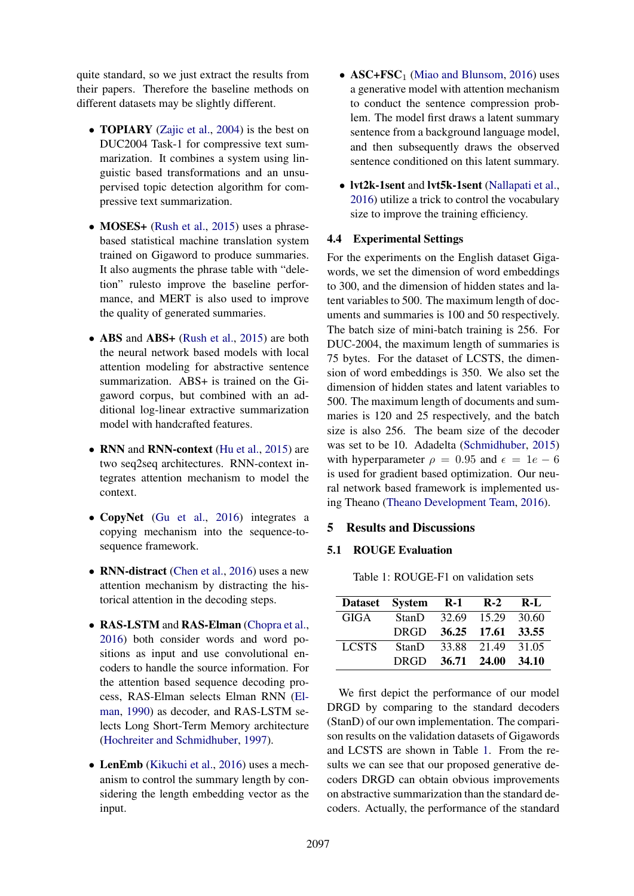quite standard, so we just extract the results from their papers. Therefore the baseline methods on different datasets may be slightly different.

- **TOPIARY** (Zajic et al., 2004) is the best on DUC2004 Task-1 for compressive text summarization. It combines a system using linguistic based transformations and an unsupervised topic detection algorithm for compressive text summarization.
- MOSES+ (Rush et al., 2015) uses a phrasebased statistical machine translation system trained on Gigaword to produce summaries. It also augments the phrase table with "deletion" rulesto improve the baseline performance, and MERT is also used to improve the quality of generated summaries.
- ABS and ABS+ (Rush et al., 2015) are both the neural network based models with local attention modeling for abstractive sentence summarization. ABS+ is trained on the Gigaword corpus, but combined with an additional log-linear extractive summarization model with handcrafted features.
- RNN and RNN-context (Hu et al., 2015) are two seq2seq architectures. RNN-context integrates attention mechanism to model the context.
- CopyNet (Gu et al., 2016) integrates a copying mechanism into the sequence-tosequence framework.
- RNN-distract (Chen et al., 2016) uses a new attention mechanism by distracting the historical attention in the decoding steps.
- RAS-LSTM and RAS-Elman (Chopra et al., 2016) both consider words and word positions as input and use convolutional encoders to handle the source information. For the attention based sequence decoding process, RAS-Elman selects Elman RNN (Elman, 1990) as decoder, and RAS-LSTM selects Long Short-Term Memory architecture (Hochreiter and Schmidhuber, 1997).
- LenEmb (Kikuchi et al., 2016) uses a mechanism to control the summary length by considering the length embedding vector as the input.
- $\text{ASC} + \text{FSC}_1$  (Miao and Blunsom, 2016) uses a generative model with attention mechanism to conduct the sentence compression problem. The model first draws a latent summary sentence from a background language model, and then subsequently draws the observed sentence conditioned on this latent summary.
- lvt2k-1sent and lvt5k-1sent (Nallapati et al., 2016) utilize a trick to control the vocabulary size to improve the training efficiency.

## 4.4 Experimental Settings

For the experiments on the English dataset Gigawords, we set the dimension of word embeddings to 300, and the dimension of hidden states and latent variables to 500. The maximum length of documents and summaries is 100 and 50 respectively. The batch size of mini-batch training is 256. For DUC-2004, the maximum length of summaries is 75 bytes. For the dataset of LCSTS, the dimension of word embeddings is 350. We also set the dimension of hidden states and latent variables to 500. The maximum length of documents and summaries is 120 and 25 respectively, and the batch size is also 256. The beam size of the decoder was set to be 10. Adadelta (Schmidhuber, 2015) with hyperparameter  $\rho = 0.95$  and  $\epsilon = 1e - 6$ is used for gradient based optimization. Our neural network based framework is implemented using Theano (Theano Development Team, 2016).

## 5 Results and Discussions

## 5.1 ROUGE Evaluation

Table 1: ROUGE-F1 on validation sets

|              | Dataset System R-1 R-2 R-L |  |  |
|--------------|----------------------------|--|--|
| GIGA         | StanD 32.69 15.29 30.60    |  |  |
|              | DRGD 36.25 17.61 33.55     |  |  |
| <b>LCSTS</b> | StanD 33.88 21.49 31.05    |  |  |
|              | DRGD 36.71 24.00 34.10     |  |  |

We first depict the performance of our model DRGD by comparing to the standard decoders (StanD) of our own implementation. The comparison results on the validation datasets of Gigawords and LCSTS are shown in Table 1. From the results we can see that our proposed generative decoders DRGD can obtain obvious improvements on abstractive summarization than the standard decoders. Actually, the performance of the standard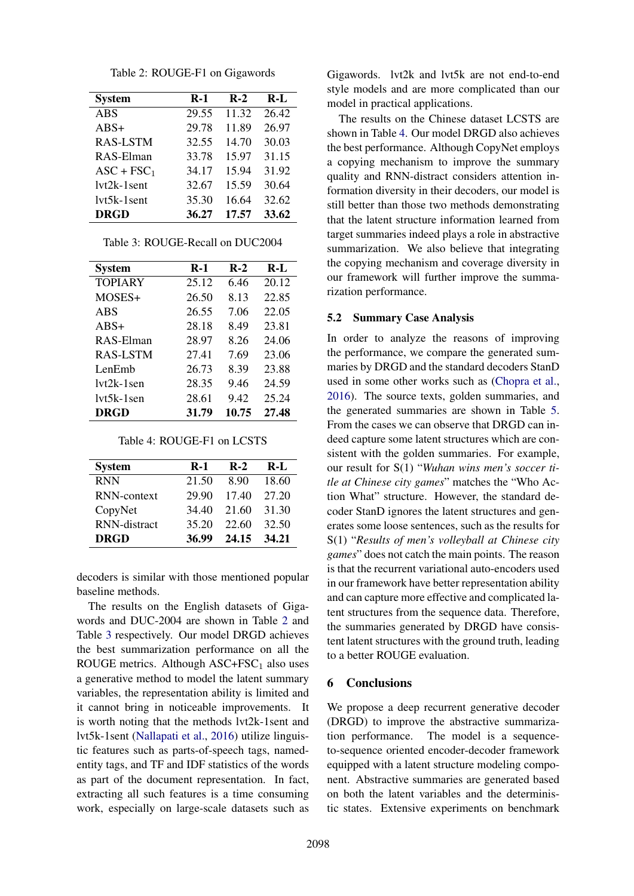| Table 2: ROUGE-F1 on Gigawords |  |  |  |
|--------------------------------|--|--|--|
|--------------------------------|--|--|--|

| <b>System</b>   | $R-1$ | $R-2$ | $R-I$ |
|-----------------|-------|-------|-------|
| <b>ABS</b>      | 29.55 | 11.32 | 26.42 |
| $ABS+$          | 29.78 | 11.89 | 26.97 |
| <b>RAS-LSTM</b> | 32.55 | 14.70 | 30.03 |
| RAS-Elman       | 33.78 | 15.97 | 31.15 |
| $ASC + FSC_1$   | 34.17 | 15.94 | 31.92 |
| $1vt2k-1sent$   | 32.67 | 15.59 | 30.64 |
| $1vt5k-1sent$   | 35.30 | 16.64 | 32.62 |
| <b>DRGD</b>     | 36.27 | 17.57 | 33.62 |

| <b>System</b>   | $R-1$ | $R-2$ | $R-I$ |
|-----------------|-------|-------|-------|
| <b>TOPIARY</b>  | 25.12 | 6.46  | 20.12 |
| MOSES+          | 26.50 | 8.13  | 22.85 |
| ABS             | 26.55 | 7.06  | 22.05 |
| $ABS+$          | 28.18 | 8.49  | 23.81 |
| RAS-Elman       | 28.97 | 8.26  | 24.06 |
| <b>RAS-LSTM</b> | 27.41 | 7.69  | 23.06 |
| LenEmb          | 26.73 | 8.39  | 23.88 |
| $1vt2k-1$ sen   | 28.35 | 9.46  | 24.59 |
| $1vt5k-1sen$    | 28.61 | 9.42  | 25.24 |
| <b>DRGD</b>     | 31.79 | 10.75 | 27.48 |

Table 3: ROUGE-Recall on DUC2004

Table 4: ROUGE-F1 on LCSTS

| <b>System</b>       | <b>R-1</b> | $R-2$ | $R-I$ |
|---------------------|------------|-------|-------|
| <b>RNN</b>          | 21.50      | 8.90  | 18.60 |
| RNN-context         | 29.90      | 17.40 | 27.20 |
| CopyNet             | 34.40      | 21.60 | 31.30 |
| <b>RNN-distract</b> | 35.20      | 22.60 | 32.50 |
| <b>DRGD</b>         | 36.99      | 24.15 | 34.21 |

decoders is similar with those mentioned popular baseline methods.

The results on the English datasets of Gigawords and DUC-2004 are shown in Table 2 and Table 3 respectively. Our model DRGD achieves the best summarization performance on all the ROUGE metrics. Although  $ASC + FSC_1$  also uses a generative method to model the latent summary variables, the representation ability is limited and it cannot bring in noticeable improvements. It is worth noting that the methods lvt2k-1sent and lvt5k-1sent (Nallapati et al., 2016) utilize linguistic features such as parts-of-speech tags, namedentity tags, and TF and IDF statistics of the words as part of the document representation. In fact, extracting all such features is a time consuming work, especially on large-scale datasets such as Gigawords. lvt2k and lvt5k are not end-to-end style models and are more complicated than our model in practical applications.

The results on the Chinese dataset LCSTS are shown in Table 4. Our model DRGD also achieves the best performance. Although CopyNet employs a copying mechanism to improve the summary quality and RNN-distract considers attention information diversity in their decoders, our model is still better than those two methods demonstrating that the latent structure information learned from target summaries indeed plays a role in abstractive summarization. We also believe that integrating the copying mechanism and coverage diversity in our framework will further improve the summarization performance.

#### 5.2 Summary Case Analysis

In order to analyze the reasons of improving the performance, we compare the generated summaries by DRGD and the standard decoders StanD used in some other works such as (Chopra et al., 2016). The source texts, golden summaries, and the generated summaries are shown in Table 5. From the cases we can observe that DRGD can indeed capture some latent structures which are consistent with the golden summaries. For example, our result for S(1) "*Wuhan wins men's soccer title at Chinese city games*" matches the "Who Action What" structure. However, the standard decoder StanD ignores the latent structures and generates some loose sentences, such as the results for S(1) "*Results of men's volleyball at Chinese city games*" does not catch the main points. The reason is that the recurrent variational auto-encoders used in our framework have better representation ability and can capture more effective and complicated latent structures from the sequence data. Therefore, the summaries generated by DRGD have consistent latent structures with the ground truth, leading to a better ROUGE evaluation.

### 6 Conclusions

We propose a deep recurrent generative decoder (DRGD) to improve the abstractive summarization performance. The model is a sequenceto-sequence oriented encoder-decoder framework equipped with a latent structure modeling component. Abstractive summaries are generated based on both the latent variables and the deterministic states. Extensive experiments on benchmark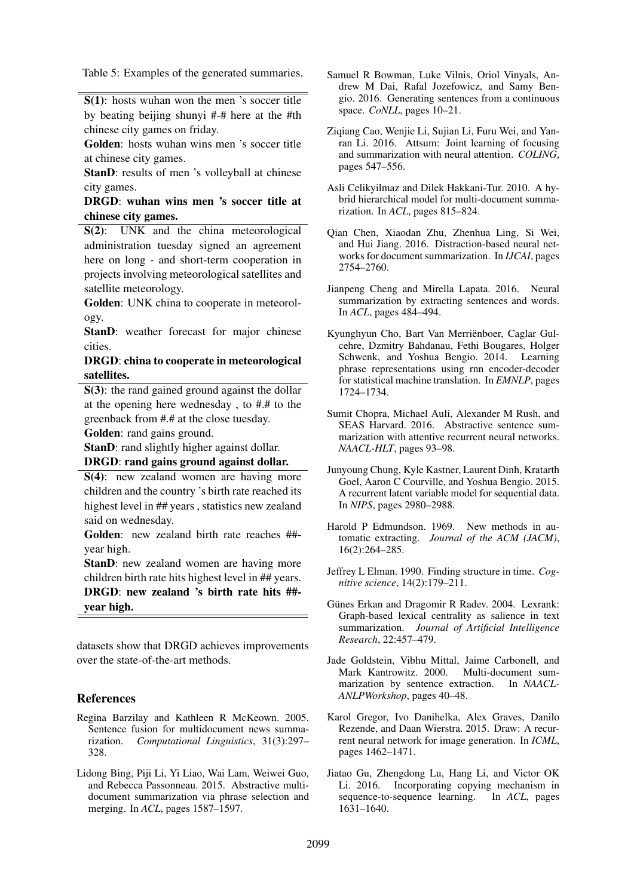Table 5: Examples of the generated summaries.

S(1): hosts wuhan won the men 's soccer title by beating beijing shunyi #-# here at the #th chinese city games on friday.

Golden: hosts wuhan wins men 's soccer title at chinese city games.

StanD: results of men 's volleyball at chinese city games.

DRGD: wuhan wins men 's soccer title at chinese city games.

S(2): UNK and the china meteorological administration tuesday signed an agreement here on long - and short-term cooperation in projects involving meteorological satellites and satellite meteorology.

Golden: UNK china to cooperate in meteorology.

StanD: weather forecast for major chinese cities.

### DRGD: china to cooperate in meteorological satellites.

S(3): the rand gained ground against the dollar at the opening here wednesday , to #.# to the greenback from #.# at the close tuesday.

Golden: rand gains ground.

StanD: rand slightly higher against dollar.

## DRGD: rand gains ground against dollar.

S(4): new zealand women are having more children and the country 's birth rate reached its highest level in ## years , statistics new zealand said on wednesday.

Golden: new zealand birth rate reaches ## year high.

StanD: new zealand women are having more children birth rate hits highest level in ## years.

DRGD: new zealand 's birth rate hits ## year high.

datasets show that DRGD achieves improvements over the state-of-the-art methods.

### References

- Regina Barzilay and Kathleen R McKeown. 2005. Sentence fusion for multidocument news summarization. *Computational Linguistics*, 31(3):297– 328.
- Lidong Bing, Piji Li, Yi Liao, Wai Lam, Weiwei Guo, and Rebecca Passonneau. 2015. Abstractive multidocument summarization via phrase selection and merging. In *ACL*, pages 1587–1597.
- Samuel R Bowman, Luke Vilnis, Oriol Vinyals, Andrew M Dai, Rafal Jozefowicz, and Samy Bengio. 2016. Generating sentences from a continuous space. *CoNLL*, pages 10–21.
- Ziqiang Cao, Wenjie Li, Sujian Li, Furu Wei, and Yanran Li. 2016. Attsum: Joint learning of focusing and summarization with neural attention. *COLING*, pages 547–556.
- Asli Celikyilmaz and Dilek Hakkani-Tur. 2010. A hybrid hierarchical model for multi-document summarization. In *ACL*, pages 815–824.
- Qian Chen, Xiaodan Zhu, Zhenhua Ling, Si Wei, and Hui Jiang. 2016. Distraction-based neural networks for document summarization. In *IJCAI*, pages 2754–2760.
- Jianpeng Cheng and Mirella Lapata. 2016. Neural summarization by extracting sentences and words. In *ACL*, pages 484–494.
- Kyunghyun Cho, Bart Van Merrienboer, Caglar Gul- ¨ cehre, Dzmitry Bahdanau, Fethi Bougares, Holger Schwenk, and Yoshua Bengio. 2014. Learning phrase representations using rnn encoder-decoder for statistical machine translation. In *EMNLP*, pages 1724–1734.
- Sumit Chopra, Michael Auli, Alexander M Rush, and SEAS Harvard. 2016. Abstractive sentence summarization with attentive recurrent neural networks. *NAACL-HLT*, pages 93–98.
- Junyoung Chung, Kyle Kastner, Laurent Dinh, Kratarth Goel, Aaron C Courville, and Yoshua Bengio. 2015. A recurrent latent variable model for sequential data. In *NIPS*, pages 2980–2988.
- Harold P Edmundson. 1969. New methods in automatic extracting. *Journal of the ACM (JACM)*, 16(2):264–285.
- Jeffrey L Elman. 1990. Finding structure in time. *Cognitive science*, 14(2):179–211.
- Günes Erkan and Dragomir R Radev. 2004. Lexrank: Graph-based lexical centrality as salience in text summarization. *Journal of Artificial Intelligence Research*, 22:457–479.
- Jade Goldstein, Vibhu Mittal, Jaime Carbonell, and Mark Kantrowitz. 2000. marization by sentence extraction. In *NAACL-ANLPWorkshop*, pages 40–48.
- Karol Gregor, Ivo Danihelka, Alex Graves, Danilo Rezende, and Daan Wierstra. 2015. Draw: A recurrent neural network for image generation. In *ICML*, pages 1462–1471.
- Jiatao Gu, Zhengdong Lu, Hang Li, and Victor OK Li. 2016. Incorporating copying mechanism in sequence-to-sequence learning. In *ACL*, pages 1631–1640.